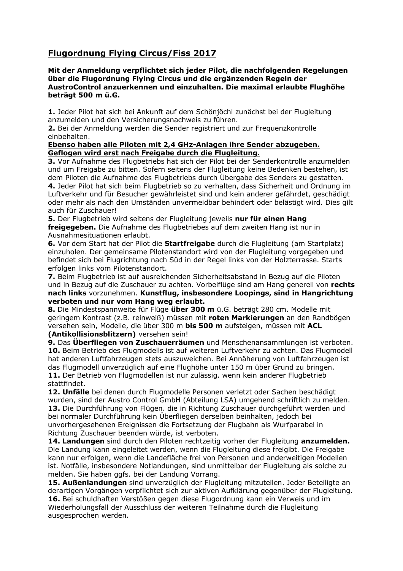# **Flugordnung Flying Circus/Fiss 2017**

#### **Mit der Anmeldung verpflichtet sich jeder Pilot, die nachfolgenden Regelungen über die Flugordnung Flying Circus und die ergänzenden Regeln der AustroControl anzuerkennen und einzuhalten. Die maximal erlaubte Flughöhe beträgt 500 m ü.G.**

**1.** Jeder Pilot hat sich bei Ankunft auf dem Schönjöchl zunächst bei der Flugleitung anzumelden und den Versicherungsnachweis zu führen.

**2.** Bei der Anmeldung werden die Sender registriert und zur Frequenzkontrolle einbehalten.

### **Ebenso haben alle Piloten mit 2,4 GHz-Anlagen ihre Sender abzugeben. Geflogen wird erst nach Freigabe durch die Flugleitung.**

**3.** Vor Aufnahme des Flugbetriebs hat sich der Pilot bei der Senderkontrolle anzumelden und um Freigabe zu bitten. Sofern seitens der Flugleitung keine Bedenken bestehen, ist dem Piloten die Aufnahme des Flugbetriebs durch Übergabe des Senders zu gestatten. **4.** Jeder Pilot hat sich beim Flugbetrieb so zu verhalten, dass Sicherheit und Ordnung im Luftverkehr und für Besucher gewährleistet sind und kein anderer gefährdet, geschädigt oder mehr als nach den Umständen unvermeidbar behindert oder belästigt wird. Dies gilt auch für Zuschauer!

**5.** Der Flugbetrieb wird seitens der Flugleitung jeweils **nur für einen Hang freigegeben.** Die Aufnahme des Flugbetriebes auf dem zweiten Hang ist nur in Ausnahmesituationen erlaubt.

**6.** Vor dem Start hat der Pilot die **Startfreigabe** durch die Flugleitung (am Startplatz) einzuholen. Der gemeinsame Pilotenstandort wird von der Flugleitung vorgegeben und befindet sich bei Flugrichtung nach Süd in der Regel links von der Holzterrasse. Starts erfolgen links vom Pilotenstandort.

**7.** Beim Flugbetrieb ist auf ausreichenden Sicherheitsabstand in Bezug auf die Piloten und in Bezug auf die Zuschauer zu achten. Vorbeiflüge sind am Hang generell von **rechts nach links** vorzunehmen. **Kunstflug, insbesondere Loopings, sind in Hangrichtung verboten und nur vom Hang weg erlaubt.**

**8.** Die Mindestspannweite für Flüge **über 300 m** ü.G. beträgt 280 cm. Modelle mit geringem Kontrast (z.B. reinweiß) müssen mit **roten Markierungen** an den Randbögen versehen sein, Modelle, die über 300 m **bis 500 m** aufsteigen, müssen mit **ACL (Antikollisionsblitzern)** versehen sein!

**9.** Das **Überfliegen von Zuschauerräumen** und Menschenansammlungen ist verboten. **10.** Beim Betrieb des Flugmodells ist auf weiteren Luftverkehr zu achten. Das Flugmodell hat anderen Luftfahrzeugen stets auszuweichen. Bei Annäherung von Luftfahrzeugen ist das Flugmodell unverzüglich auf eine Flughöhe unter 150 m über Grund zu bringen. **11.** Der Betrieb von Flugmodellen ist nur zulässig. wenn kein anderer Flugbetrieb stattfindet.

**12. Unfälle** bei denen durch Flugmodelle Personen verletzt oder Sachen beschädigt wurden, sind der Austro Control GmbH (Abteilung LSA) umgehend schriftlich zu melden. **13.** Die Durchführung von Flügen. die in Richtung Zuschauer durchgeführt werden und bei normaler Durchführung kein Überfliegen derselben beinhalten, jedoch bei unvorhergesehenen Ereignissen die Fortsetzung der Flugbahn als Wurfparabel in Richtung Zuschauer beenden würde, ist verboten.

**14. Landungen** sind durch den Piloten rechtzeitig vorher der Flugleitung **anzumelden.** Die Landung kann eingeleitet werden, wenn die Flugleitung diese freigibt. Die Freigabe kann nur erfolgen, wenn die Landefläche frei von Personen und anderweitigen Modellen ist. Notfälle, insbesondere Notlandungen, sind unmittelbar der Flugleitung als solche zu melden. Sie haben ggfs. bei der Landung Vorrang.

**15. Außenlandungen** sind unverzüglich der Flugleitung mitzuteilen. Jeder Beteiligte an derartigen Vorgängen verpflichtet sich zur aktiven Aufklärung gegenüber der Flugleitung. **16.** Bei schuldhaften Verstößen gegen diese Flugordnung kann ein Verweis und im Wiederholungsfall der Ausschluss der weiteren Teilnahme durch die Flugleitung ausgesprochen werden.